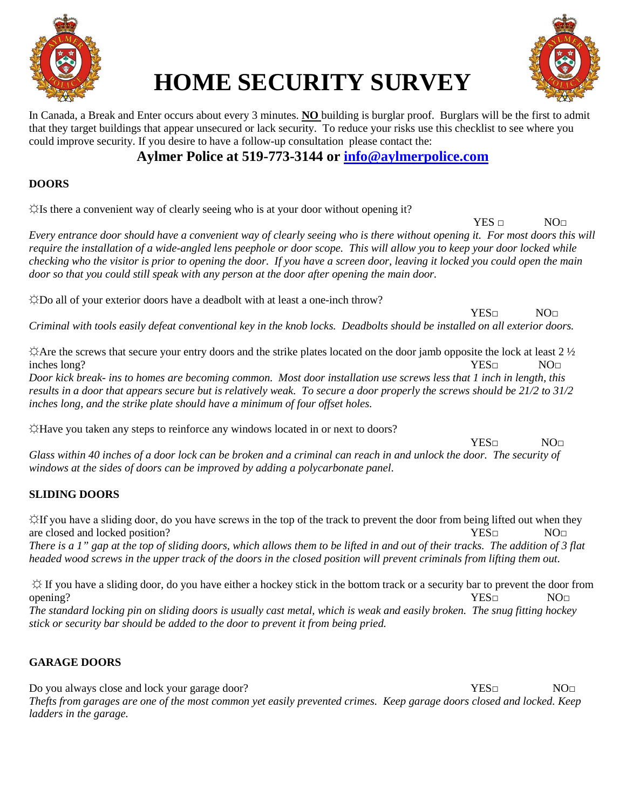

# **HOME SECURITY SURVEY**



In Canada, a Break and Enter occurs about every 3 minutes. **NO** building is burglar proof. Burglars will be the first to admit that they target buildings that appear unsecured or lack security. To reduce your risks use this checklist to see where you could improve security. If you desire to have a follow-up consultation please contact the:

## **Aylmer Police at 519-773-3144 or [info@aylmerpolice.com](mailto:info@aylmerpolice.com)**

## **DOORS**

 $\forall$ Is there a convenient way of clearly seeing who is at your door without opening it?

 $YES \sqcap$  NO $\sqcap$ 

*Every entrance door should have a convenient way of clearly seeing who is there without opening it. For most doors this will require the installation of a wide-angled lens peephole or door scope. This will allow you to keep your door locked while checking who the visitor is prior to opening the door. If you have a screen door, leaving it locked you could open the main door so that you could still speak with any person at the door after opening the main door.*

☼Do all of your exterior doors have a deadbolt with at least a one-inch throw?

YES□ NO□

*Criminal with tools easily defeat conventional key in the knob locks. Deadbolts should be installed on all exterior doors.*

 $\triangle$  Are the screws that secure your entry doors and the strike plates located on the door jamb opposite the lock at least 2  $\frac{1}{2}$ inches long? NO□

*Door kick break- ins to homes are becoming common. Most door installation use screws less that 1 inch in length, this results in a door that appears secure but is relatively weak. To secure a door properly the screws should be 21/2 to 31/2 inches long, and the strike plate should have a minimum of four offset holes.*

☼Have you taken any steps to reinforce any windows located in or next to doors?

 $YES\Box$  NO $\Box$ 

*Glass within 40 inches of a door lock can be broken and a criminal can reach in and unlock the door. The security of windows at the sides of doors can be improved by adding a polycarbonate panel*.

## **SLIDING DOORS**

☼If you have a sliding door, do you have screws in the top of the track to prevent the door from being lifted out when they are closed and locked position? YES□ NO□ *There is a 1" gap at the top of sliding doors, which allows them to be lifted in and out of their tracks. The addition of 3 flat headed wood screws in the upper track of the doors in the closed position will prevent criminals from lifting them out.*

☼ If you have a sliding door, do you have either a hockey stick in the bottom track or a security bar to prevent the door from opening? NO□ NO□ *The standard locking pin on sliding doors is usually cast metal, which is weak and easily broken. The snug fitting hockey stick or security bar should be added to the door to prevent it from being pried.*

## **GARAGE DOORS**

Do you always close and lock your garage door? YES□ YES□ NO□ *Thefts from garages are one of the most common yet easily prevented crimes. Keep garage doors closed and locked. Keep ladders in the garage.*